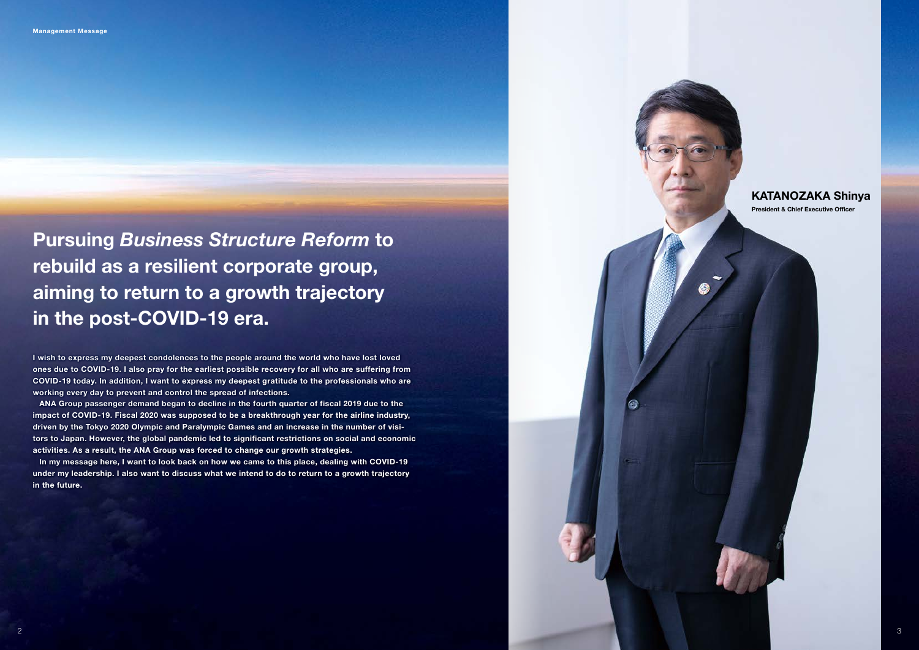Pursuing *Business Structure Reform* to rebuild as a resilient corporate group, aiming to return to a growth trajectory in the post-COVID-19 era.

## KATANOZAKA Shinya

President & Chief Executive Officer

I wish to express my deepest condolences to the people around the world who have lost loved ones due to COVID-19. I also pray for the earliest possible recovery for all who are suffering from COVID-19 today. In addition, I want to express my deepest gratitude to the professionals who are working every day to prevent and control the spread of infections.

ANA Group passenger demand began to decline in the fourth quarter of fiscal 2019 due to the impact of COVID-19. Fiscal 2020 was supposed to be a breakthrough year for the airline industry, driven by the Tokyo 2020 Olympic and Paralympic Games and an increase in the number of visitors to Japan. However, the global pandemic led to significant restrictions on social and economic activities. As a result, the ANA Group was forced to change our growth strategies.

In my message here, I want to look back on how we came to this place, dealing with COVID-19 under my leadership. I also want to discuss what we intend to do to return to a growth trajectory in the future.

 $2$  and the contract of the contract of the contract of the contract of the contract of the contract of the contract of the contract of the contract of the contract of the contract of the contract of the contract of the c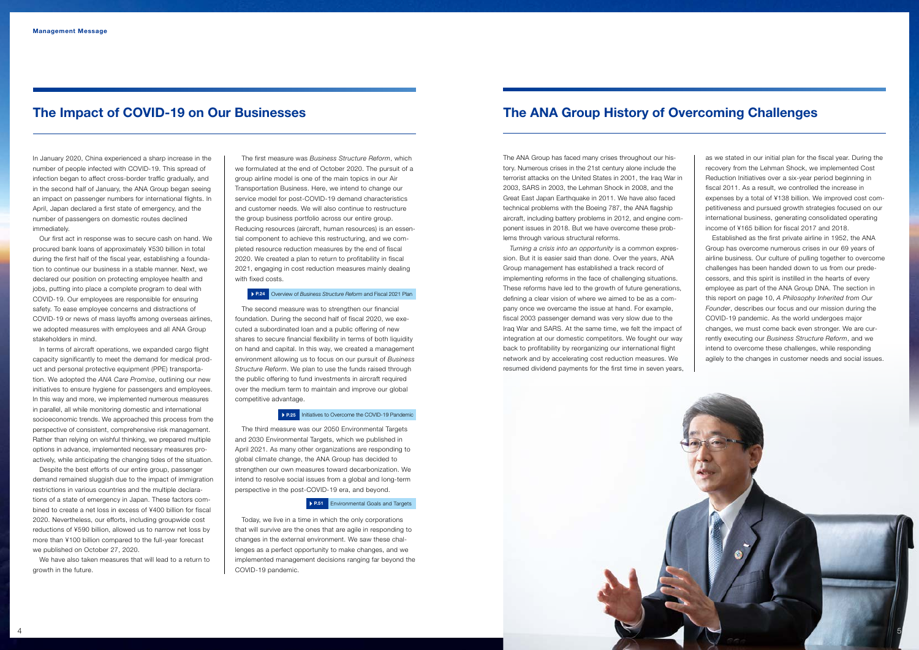In January 2020, China experienced a sharp increase in the number of people infected with COVID-19. This spread of infection began to affect cross-border traffic gradually, and in the second half of January, the ANA Group began seeing an impact on passenger numbers for international flights. In April, Japan declared a first state of emergency, and the number of passengers on domestic routes declined immediately.

Our first act in response was to secure cash on hand. We procured bank loans of approximately ¥530 billion in total during the first half of the fiscal year, establishing a foundation to continue our business in a stable manner. Next, we declared our position on protecting employee health and jobs, putting into place a complete program to deal with COVID-19. Our employees are responsible for ensuring safety. To ease employee concerns and distractions of COVID-19 or news of mass layoffs among overseas airlines, we adopted measures with employees and all ANA Group stakeholders in mind.

In terms of aircraft operations, we expanded cargo flight capacity significantly to meet the demand for medical product and personal protective equipment (PPE) transportation. We adopted the *ANA Care Promise*, outlining our new initiatives to ensure hygiene for passengers and employees. In this way and more, we implemented numerous measures in parallel, all while monitoring domestic and international socioeconomic trends. We approached this process from the perspective of consistent, comprehensive risk management. Rather than relying on wishful thinking, we prepared multiple options in advance, implemented necessary measures proactively, while anticipating the changing tides of the situation.

Despite the best efforts of our entire group, passenger demand remained sluggish due to the impact of immigration restrictions in various countries and the multiple declarations of a state of emergency in Japan. These factors combined to create a net loss in excess of ¥400 billion for fiscal 2020. Nevertheless, our efforts, including groupwide cost reductions of ¥590 billion, allowed us to narrow net loss by more than ¥100 billion compared to the full-year forecast we published on October 27, 2020.

We have also taken measures that will lead to a return to growth in the future.

The first measure was *Business Structure Reform*, which we formulated at the end of October 2020. The pursuit of a group airline model is one of the main topics in our Air Transportation Business. Here, we intend to change our service model for post-COVID-19 demand characteristics and customer needs. We will also continue to restructure the group business portfolio across our entire group. Reducing resources (aircraft, human resources) is an essential component to achieve this restructuring, and we completed resource reduction measures by the end of fiscal 2020. We created a plan to return to profitability in fiscal 2021, engaging in cost reduction measures mainly dealing with fixed costs.

The second measure was to strengthen our financial foundation. During the second half of fiscal 2020, we executed a subordinated loan and a public offering of new shares to secure financial flexibility in terms of both liquidity on hand and capital. In this way, we created a management environment allowing us to focus on our pursuit of *Business Structure Reform*. We plan to use the funds raised through the public offering to fund investments in aircraft required over the medium term to maintain and improve our global competitive advantage.

#### **P.25** Initiatives to Overcome the COVID-19 Pandemic

The third measure was our 2050 Environmental Targets and 2030 Environmental Targets, which we published in April 2021. As many other organizations are responding to global climate change, the ANA Group has decided to strengthen our own measures toward decarbonization. We intend to resolve social issues from a global and long-term perspective in the post-COVID-19 era, and beyond.

#### **P.51** Environmental Goals and Targets

Today, we live in a time in which the only corporations that will survive are the ones that are agile in responding to changes in the external environment. We saw these challenges as a perfect opportunity to make changes, and we implemented management decisions ranging far beyond the COVID-19 pandemic.

5

The ANA Group has faced many crises throughout our history. Numerous crises in the 21st century alone include the terrorist attacks on the United States in 2001, the Iraq War in 2003, SARS in 2003, the Lehman Shock in 2008, and the Great East Japan Earthquake in 2011. We have also faced technical problems with the Boeing 787, the ANA flagship aircraft, including battery problems in 2012, and engine component issues in 2018. But we have overcome these problems through various structural reforms.

*Turning a crisis into an opportunity* is a common expression. But it is easier said than done. Over the years, ANA Group management has established a track record of implementing reforms in the face of challenging situations. These reforms have led to the growth of future generations, defining a clear vision of where we aimed to be as a company once we overcame the issue at hand. For example, fiscal 2003 passenger demand was very slow due to the Iraq War and SARS. At the same time, we felt the impact of integration at our domestic competitors. We fought our way back to profitability by reorganizing our international flight network and by accelerating cost reduction measures. We resumed dividend payments for the first time in seven years,



as we stated in our initial plan for the fiscal year. During the recovery from the Lehman Shock, we implemented Cost Reduction Initiatives over a six-year period beginning in fiscal 2011. As a result, we controlled the increase in expenses by a total of ¥138 billion. We improved cost competitiveness and pursued growth strategies focused on our international business, generating consolidated operating income of ¥165 billion for fiscal 2017 and 2018.

Established as the first private airline in 1952, the ANA Group has overcome numerous crises in our 69 years of airline business. Our culture of pulling together to overcome challenges has been handed down to us from our predecessors, and this spirit is instilled in the hearts of every employee as part of the ANA Group DNA. The section in this report on page 10, *A Philosophy Inherited from Our Founder*, describes our focus and our mission during the COVID-19 pandemic. As the world undergoes major changes, we must come back even stronger. We are currently executing our *Business Structure Reform*, and we intend to overcome these challenges, while responding agilely to the changes in customer needs and social issues.

# The ANA Group History of Overcoming Challenges

#### P.24 Overview of *Business Structure Reform* and Fiscal 2021 Plan

# The Impact of COVID-19 on Our Businesses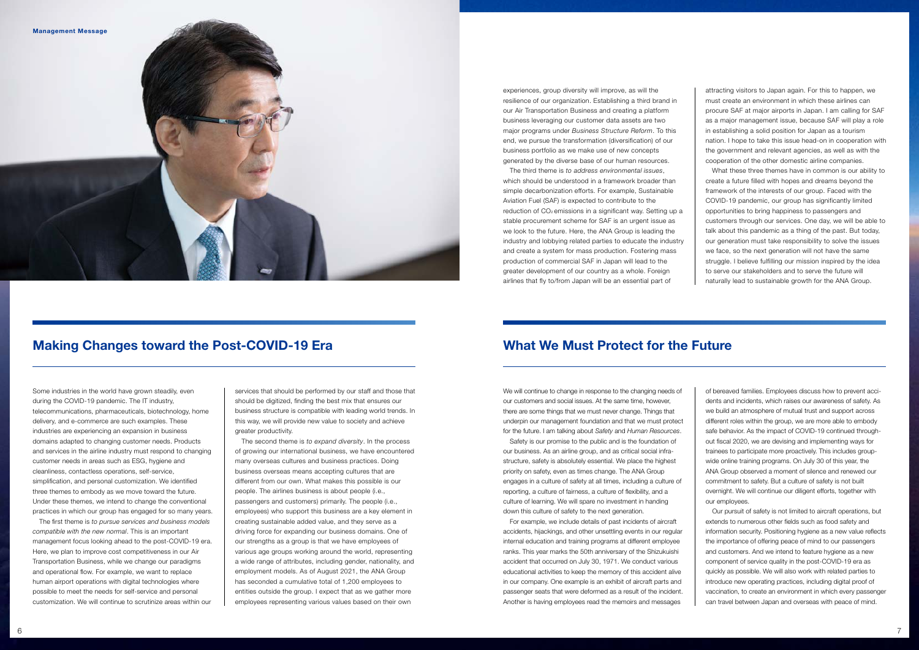

We will continue to change in response to the changing needs of our customers and social issues. At the same time, however, there are some things that we must never change. Things that underpin our management foundation and that we must protect for the future. I am talking about *Safety* and *Human Resources*.

Safety is our promise to the public and is the foundation of our business. As an airline group, and as critical social infrastructure, safety is absolutely essential. We place the highest priority on safety, even as times change. The ANA Group engages in a culture of safety at all times, including a culture of reporting, a culture of fairness, a culture of flexibility, and a culture of learning. We will spare no investment in handing down this culture of safety to the next generation.

For example, we include details of past incidents of aircraft accidents, hijackings, and other unsettling events in our regular internal education and training programs at different employee ranks. This year marks the 50th anniversary of the Shizukuishi accident that occurred on July 30, 1971. We conduct various educational activities to keep the memory of this accident alive in our company. One example is an exhibit of aircraft parts and passenger seats that were deformed as a result of the incident. Another is having employees read the memoirs and messages

of bereaved families. Employees discuss how to prevent accidents and incidents, which raises our awareness of safety. As we build an atmosphere of mutual trust and support across different roles within the group, we are more able to embody safe behavior. As the impact of COVID-19 continued throughout fiscal 2020, we are devising and implementing ways for trainees to participate more proactively. This includes groupwide online training programs. On July 30 of this year, the ANA Group observed a moment of silence and renewed our commitment to safety. But a culture of safety is not built overnight. We will continue our diligent efforts, together with our employees.

Our pursuit of safety is not limited to aircraft operations, but extends to numerous other fields such as food safety and information security. Positioning hygiene as a new value reflects the importance of offering peace of mind to our passengers and customers. And we intend to feature hygiene as a new component of service quality in the post-COVID-19 era as quickly as possible. We will also work with related parties to introduce new operating practices, including digital proof of vaccination, to create an environment in which every passenger can travel between Japan and overseas with peace of mind.

## What We Must Protect for the Future

Some industries in the world have grown steadily, even during the COVID-19 pandemic. The IT industry, telecommunications, pharmaceuticals, biotechnology, home delivery, and e-commerce are such examples. These industries are experiencing an expansion in business domains adapted to changing customer needs. Products and services in the airline industry must respond to changing customer needs in areas such as ESG, hygiene and cleanliness, contactless operations, self-service, simplification, and personal customization. We identified three themes to embody as we move toward the future. Under these themes, we intend to change the conventional practices in which our group has engaged for so many years.

The first theme is *to pursue services and business models compatible with the new normal*. This is an important management focus looking ahead to the post-COVID-19 era. Here, we plan to improve cost competitiveness in our Air Transportation Business, while we change our paradigms and operational flow. For example, we want to replace human airport operations with digital technologies where possible to meet the needs for self-service and personal customization. We will continue to scrutinize areas within our

services that should be performed by our staff and those that should be digitized, finding the best mix that ensures our business structure is compatible with leading world trends. In this way, we will provide new value to society and achieve greater productivity.

The second theme is *to expand diversity*. In the process of growing our international business, we have encountered many overseas cultures and business practices. Doing business overseas means accepting cultures that are different from our own. What makes this possible is our people. The airlines business is about people (i.e., passengers and customers) primarily. The people (i.e., employees) who support this business are a key element in creating sustainable added value, and they serve as a driving force for expanding our business domains. One of our strengths as a group is that we have employees of various age groups working around the world, representing a wide range of attributes, including gender, nationality, and employment models. As of August 2021, the ANA Group has seconded a cumulative total of 1,200 employees to entities outside the group. I expect that as we gather more employees representing various values based on their own

# Making Changes toward the Post-COVID-19 Era

experiences, group diversity will improve, as will the resilience of our organization. Establishing a third brand in our Air Transportation Business and creating a platform business leveraging our customer data assets are two major programs under *Business Structure Reform*. To this end, we pursue the transformation (diversification) of our business portfolio as we make use of new concepts generated by the diverse base of our human resources.

The third theme is *to address environmental issues*, which should be understood in a framework broader than simple decarbonization efforts. For example, Sustainable Aviation Fuel (SAF) is expected to contribute to the reduction of CO<sub>2</sub> emissions in a significant way. Setting up a stable procurement scheme for SAF is an urgent issue as we look to the future. Here, the ANA Group is leading the industry and lobbying related parties to educate the industry and create a system for mass production. Fostering mass production of commercial SAF in Japan will lead to the greater development of our country as a whole. Foreign airlines that fly to/from Japan will be an essential part of

attracting visitors to Japan again. For this to happen, we must create an environment in which these airlines can procure SAF at major airports in Japan. I am calling for SAF as a major management issue, because SAF will play a role in establishing a solid position for Japan as a tourism nation. I hope to take this issue head-on in cooperation with the government and relevant agencies, as well as with the cooperation of the other domestic airline companies.

What these three themes have in common is our ability to create a future filled with hopes and dreams beyond the framework of the interests of our group. Faced with the COVID-19 pandemic, our group has significantly limited opportunities to bring happiness to passengers and customers through our services. One day, we will be able to talk about this pandemic as a thing of the past. But today, our generation must take responsibility to solve the issues we face, so the next generation will not have the same struggle. I believe fulfilling our mission inspired by the idea to serve our stakeholders and to serve the future will naturally lead to sustainable growth for the ANA Group.